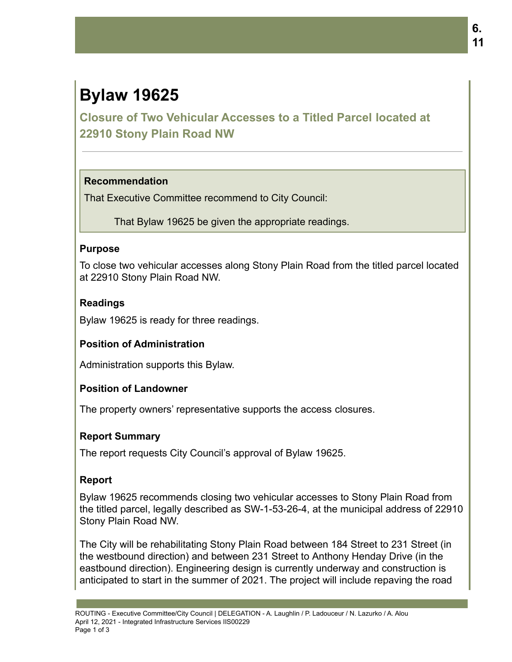# **Bylaw 19625**

**Closure of Two Vehicular Accesses to a Titled Parcel located at 22910 Stony Plain Road NW**

# **Recommendation**

That Executive Committee recommend to City Council:

That Bylaw 19625 be given the appropriate readings.

# **Purpose**

To close two vehicular accesses along Stony Plain Road from the titled parcel located at 22910 Stony Plain Road NW.

# **Readings**

Bylaw 19625 is ready for three readings.

# **Position of Administration**

Administration supports this Bylaw.

# **Position of Landowner**

The property owners' representative supports the access closures.

# **Report Summary**

The report requests City Council's approval of Bylaw 19625.

# **Report**

Bylaw 19625 recommends closing two vehicular accesses to Stony Plain Road from the titled parcel, legally described as SW-1-53-26-4, at the municipal address of 22910 Stony Plain Road NW.

The City will be rehabilitating Stony Plain Road between 184 Street to 231 Street (in the westbound direction) and between 231 Street to Anthony Henday Drive (in the eastbound direction). Engineering design is currently underway and construction is anticipated to start in the summer of 2021. The project will include repaving the road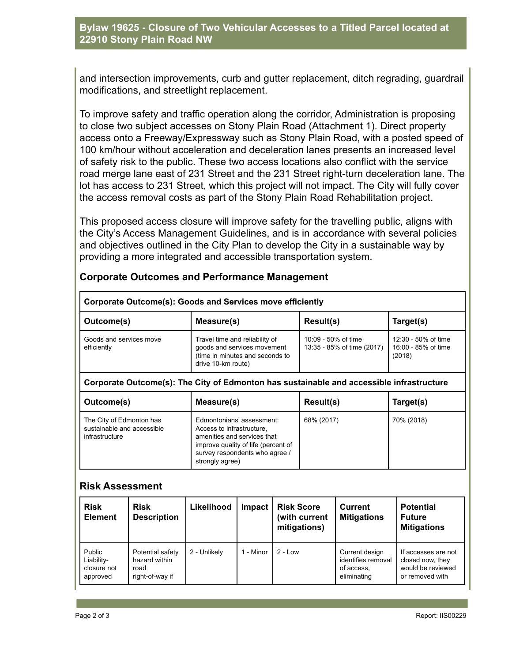#### **Bylaw 19625 - Closure of Two Vehicular Accesses to a Titled Parcel located at 22910 Stony Plain Road NW**

and intersection improvements, curb and gutter replacement, ditch regrading, guardrail modifications, and streetlight replacement.

To improve safety and traffic operation along the corridor, Administration is proposing to close two subject accesses on Stony Plain Road (Attachment 1). Direct property access onto a Freeway/Expressway such as Stony Plain Road, with a posted speed of 100 km/hour without acceleration and deceleration lanes presents an increased level of safety risk to the public. These two access locations also conflict with the service road merge lane east of 231 Street and the 231 Street right-turn deceleration lane. The lot has access to 231 Street, which this project will not impact. The City will fully cover the access removal costs as part of the Stony Plain Road Rehabilitation project.

This proposed access closure will improve safety for the travelling public, aligns with the City's Access Management Guidelines, and is in accordance with several policies and objectives outlined in the City Plan to develop the City in a sustainable way by providing a more integrated and accessible transportation system.

|  |  | <b>Corporate Outcomes and Performance Management</b> |  |
|--|--|------------------------------------------------------|--|
|--|--|------------------------------------------------------|--|

| Corporate Outcome(s): Goods and Services move efficiently                                |                                                                                                                                                                                   |                                                   |                                                      |  |  |  |
|------------------------------------------------------------------------------------------|-----------------------------------------------------------------------------------------------------------------------------------------------------------------------------------|---------------------------------------------------|------------------------------------------------------|--|--|--|
| Outcome(s)                                                                               | Measure(s)                                                                                                                                                                        | Result(s)                                         | Target(s)                                            |  |  |  |
| Goods and services move<br>efficiently                                                   | Travel time and reliability of<br>goods and services movement<br>(time in minutes and seconds to<br>drive 10-km route)                                                            | 10:09 - 50% of time<br>13:35 - 85% of time (2017) | 12:30 - 50% of time<br>16:00 - 85% of time<br>(2018) |  |  |  |
| Corporate Outcome(s): The City of Edmonton has sustainable and accessible infrastructure |                                                                                                                                                                                   |                                                   |                                                      |  |  |  |
| Outcome(s)                                                                               | Measure(s)                                                                                                                                                                        | Result(s)                                         | Target(s)                                            |  |  |  |
| The City of Edmonton has<br>sustainable and accessible<br>infrastructure                 | Edmontonians' assessment:<br>Access to infrastructure,<br>amenities and services that<br>improve quality of life (percent of<br>survey respondents who agree /<br>strongly agree) | 68% (2017)                                        | 70% (2018)                                           |  |  |  |

#### **Risk Assessment**

| <b>Risk</b><br><b>Element</b>                   | <b>Risk</b><br><b>Description</b>                            | Likelihood   | Impact  | <b>Risk Score</b><br>(with current<br>mitigations) | Current<br><b>Mitigations</b>                                     | <b>Potential</b><br><b>Future</b><br><b>Mitigations</b>                         |
|-------------------------------------------------|--------------------------------------------------------------|--------------|---------|----------------------------------------------------|-------------------------------------------------------------------|---------------------------------------------------------------------------------|
| Public<br>Liability-<br>closure not<br>approved | Potential safety<br>hazard within<br>road<br>right-of-way if | 2 - Unlikely | - Minor | $2 - Low$                                          | Current design<br>identifies removal<br>of access,<br>eliminating | If accesses are not<br>closed now, they<br>would be reviewed<br>or removed with |